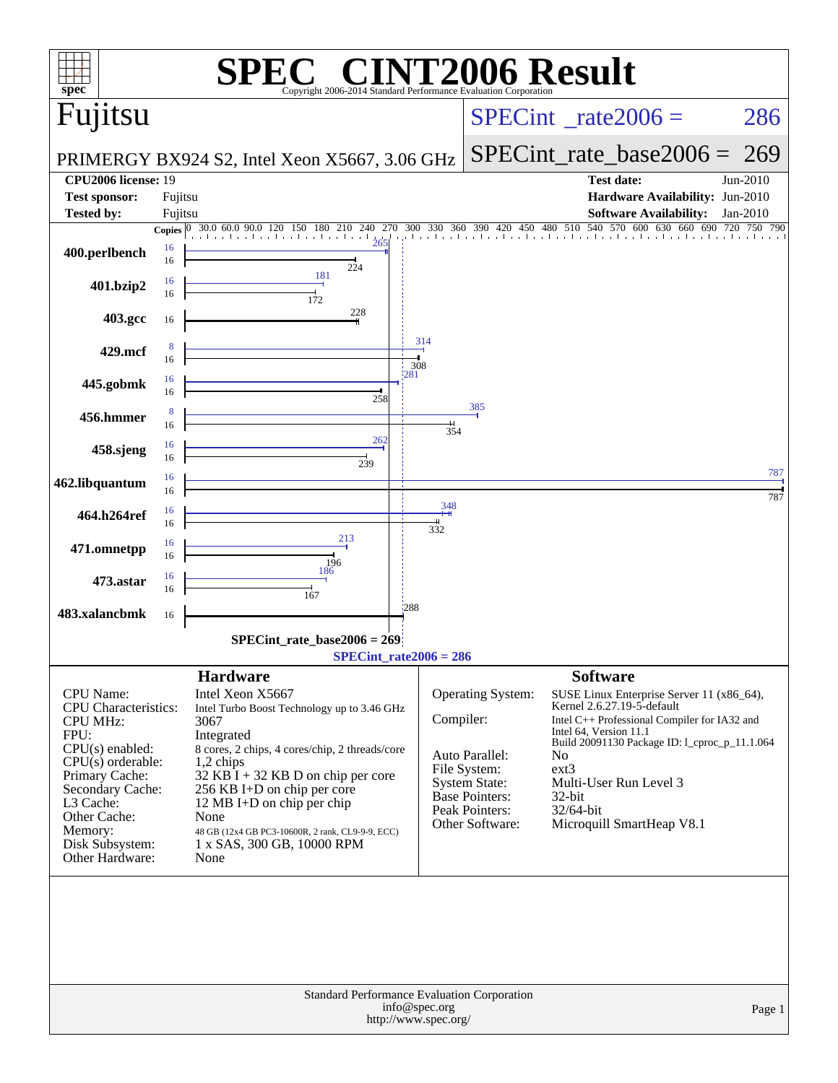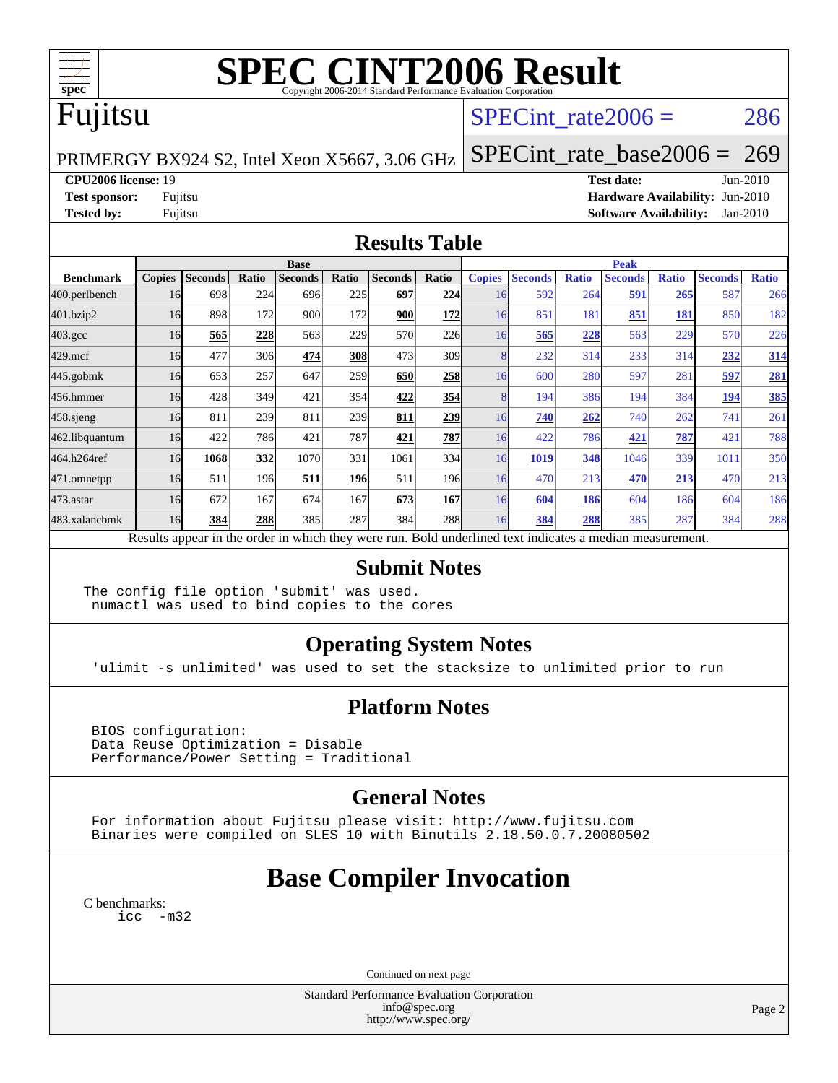

# **[SPEC CINT2006 Result](http://www.spec.org/auto/cpu2006/Docs/result-fields.html#SPECCINT2006Result)**

# Fujitsu

## SPECint rate $2006 = 286$

PRIMERGY BX924 S2, Intel Xeon X5667, 3.06 GHz

[SPECint\\_rate\\_base2006 =](http://www.spec.org/auto/cpu2006/Docs/result-fields.html#SPECintratebase2006) 269 **[CPU2006 license:](http://www.spec.org/auto/cpu2006/Docs/result-fields.html#CPU2006license)** 19 **[Test date:](http://www.spec.org/auto/cpu2006/Docs/result-fields.html#Testdate)** Jun-2010

**[Test sponsor:](http://www.spec.org/auto/cpu2006/Docs/result-fields.html#Testsponsor)** Fujitsu **[Hardware Availability:](http://www.spec.org/auto/cpu2006/Docs/result-fields.html#HardwareAvailability)** Jun-2010 **[Tested by:](http://www.spec.org/auto/cpu2006/Docs/result-fields.html#Testedby)** Fujitsu **[Software Availability:](http://www.spec.org/auto/cpu2006/Docs/result-fields.html#SoftwareAvailability)** Jan-2010

#### **[Results Table](http://www.spec.org/auto/cpu2006/Docs/result-fields.html#ResultsTable)**

|                                                                                                          | <b>Base</b>   |                |       |                |            | <b>Peak</b>    |                  |               |                |              |                |              |                |              |
|----------------------------------------------------------------------------------------------------------|---------------|----------------|-------|----------------|------------|----------------|------------------|---------------|----------------|--------------|----------------|--------------|----------------|--------------|
| <b>Benchmark</b>                                                                                         | <b>Copies</b> | <b>Seconds</b> | Ratio | <b>Seconds</b> | Ratio      | <b>Seconds</b> | Ratio            | <b>Copies</b> | <b>Seconds</b> | <b>Ratio</b> | <b>Seconds</b> | <b>Ratio</b> | <b>Seconds</b> | <b>Ratio</b> |
| 400.perlbench                                                                                            | 16            | 698            | 224   | 696            | 225        | 697            | 224              | 16            | 592            | 264          | 591            | 265          | 587            | 266          |
| 401.bzip2                                                                                                | 16            | 898            | 172   | 900            | 172        | 900            | 172              | 16            | 851            | 181          | 851            | 181          | 850            | 182          |
| $403.\text{gcc}$                                                                                         | 16            | 565            | 228   | 563            | 229        | 570            | 226              | 16            | 565            | 228          | 563            | 229          | 570            | 226          |
| $429$ .mcf                                                                                               | 16            | 477            | 306   | 474            | 308        | 473            | 309              |               | 232            | 314          | 233            | 314          | 232            | 314          |
| $445$ .gobm $k$                                                                                          | 16            | 653            | 257   | 647            | 259        | 650            | 258              | 16            | 600            | 280          | 597            | 281          | 597            | 281          |
| 456.hmmer                                                                                                | 16            | 428            | 349   | 421            | 354        | 422            | 354              |               | 194            | 386          | 194            | 384          | 194            | 385          |
| $458$ .sjeng                                                                                             | 16            | 811            | 239   | 811            | 239        | 811            | 239              | 16            | 740            | 262          | 740            | 262          | 741            | 261          |
| 462.libquantum                                                                                           | 16            | 422            | 786   | 421            | 787        | 421            | 787              | 16            | 422            | 786          | 421            | 787          | 421            | 788          |
| 464.h264ref                                                                                              | 16            | 1068           | 332   | 1070           | 331        | 1061           | 334              | 16            | 1019           | 348          | 1046           | 339          | 1011           | 350          |
| 471.omnetpp                                                                                              | 16            | 511            | 196   | 511            | <b>196</b> | 511            | 196 <sub>l</sub> | 16            | 470            | 213          | 470            | 213          | 470            | 213          |
| 473.astar                                                                                                | 16            | 672            | 167   | 674            | 167        | 673            | 167              | 16            | 604            | 186          | 604            | 186          | 604            | 186          |
| 483.xalancbmk                                                                                            | 16            | 384            | 288   | 385            | 287        | 384            | 288              | 16            | 384            | 288          | 385            | 287          | 384            | 288          |
| Results appear in the order in which they were run. Bold underlined text indicates a median measurement. |               |                |       |                |            |                |                  |               |                |              |                |              |                |              |

#### **[Submit Notes](http://www.spec.org/auto/cpu2006/Docs/result-fields.html#SubmitNotes)**

The config file option 'submit' was used. numactl was used to bind copies to the cores

## **[Operating System Notes](http://www.spec.org/auto/cpu2006/Docs/result-fields.html#OperatingSystemNotes)**

'ulimit -s unlimited' was used to set the stacksize to unlimited prior to run

## **[Platform Notes](http://www.spec.org/auto/cpu2006/Docs/result-fields.html#PlatformNotes)**

 BIOS configuration: Data Reuse Optimization = Disable Performance/Power Setting = Traditional

## **[General Notes](http://www.spec.org/auto/cpu2006/Docs/result-fields.html#GeneralNotes)**

 For information about Fujitsu please visit: <http://www.fujitsu.com> Binaries were compiled on SLES 10 with Binutils 2.18.50.0.7.20080502

## **[Base Compiler Invocation](http://www.spec.org/auto/cpu2006/Docs/result-fields.html#BaseCompilerInvocation)**

[C benchmarks](http://www.spec.org/auto/cpu2006/Docs/result-fields.html#Cbenchmarks): [icc -m32](http://www.spec.org/cpu2006/results/res2010q3/cpu2006-20100618-11750.flags.html#user_CCbase_intel_icc_32bit_5ff4a39e364c98233615fdd38438c6f2)

Continued on next page

Standard Performance Evaluation Corporation [info@spec.org](mailto:info@spec.org) <http://www.spec.org/>

Page 2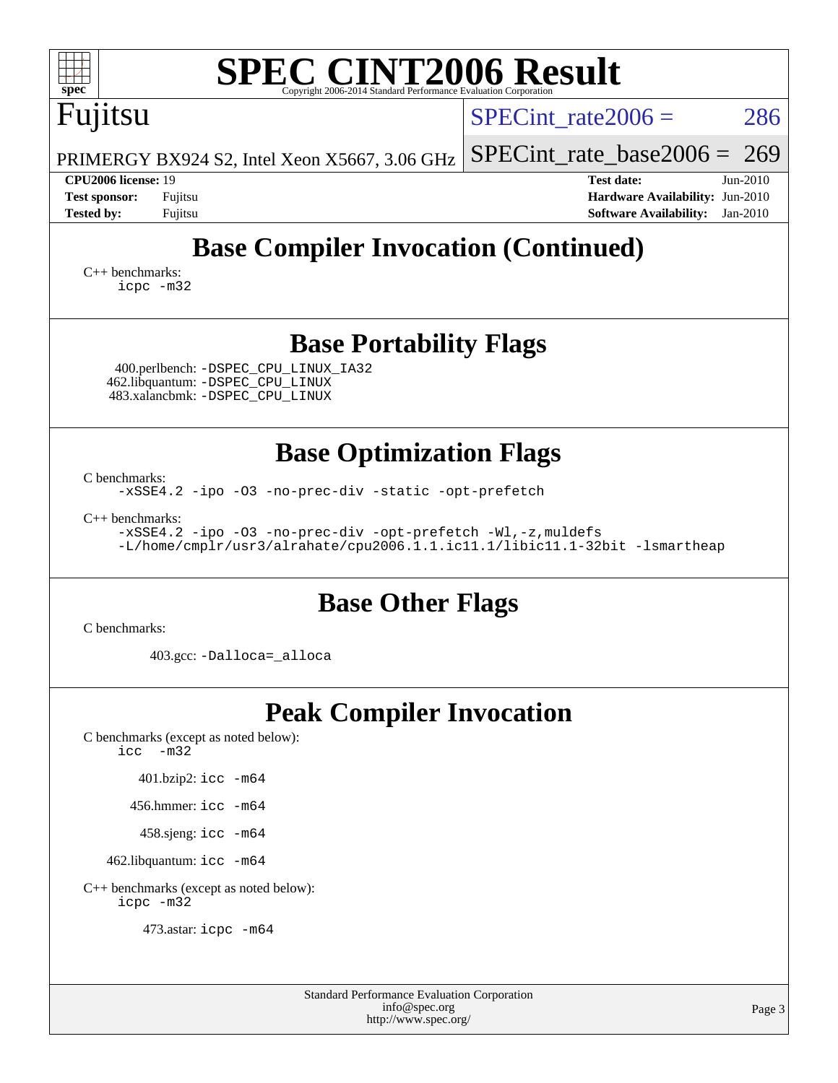| spec®                                                                   |                     |                                                                                                                                                                                   | Copyright 2006-2014 Standard Performance Evaluation Corporation | <b>SPEC CINT2006 Result</b>                                                           |                          |
|-------------------------------------------------------------------------|---------------------|-----------------------------------------------------------------------------------------------------------------------------------------------------------------------------------|-----------------------------------------------------------------|---------------------------------------------------------------------------------------|--------------------------|
| Fujitsu                                                                 |                     |                                                                                                                                                                                   |                                                                 | SPECint rate $2006 =$                                                                 | 286                      |
|                                                                         |                     | PRIMERGY BX924 S2, Intel Xeon X5667, 3.06 GHz                                                                                                                                     |                                                                 | $SPECint_rate\_base2006 =$                                                            | 269                      |
| <b>CPU2006</b> license: 19<br><b>Test sponsor:</b><br><b>Tested by:</b> | Fujitsu<br>Fujitsu  |                                                                                                                                                                                   |                                                                 | <b>Test date:</b><br>Hardware Availability: Jun-2010<br><b>Software Availability:</b> | $Jun-2010$<br>$Jan-2010$ |
| $C_{++}$ benchmarks:                                                    | icpc -m32           |                                                                                                                                                                                   |                                                                 | <b>Base Compiler Invocation (Continued)</b>                                           |                          |
|                                                                         |                     | 400.perlbench: -DSPEC_CPU_LINUX_IA32<br>462.libquantum: -DSPEC_CPU_LINUX<br>483.xalancbmk: -DSPEC_CPU_LINUX                                                                       | <b>Base Portability Flags</b>                                   |                                                                                       |                          |
| C benchmarks:<br>$C++$ benchmarks:                                      |                     | -xSSE4.2 -ipo -03 -no-prec-div -static -opt-prefetch<br>-xSSE4.2 -ipo -03 -no-prec-div -opt-prefetch -Wl,-z, muldefs                                                              | <b>Base Optimization Flags</b>                                  | -L/home/cmplr/usr3/alrahate/cpu2006.1.1.ic11.1/libic11.1-32bit -lsmartheap            |                          |
| C benchmarks:                                                           |                     | 403.gcc: -Dalloca=_alloca                                                                                                                                                         | <b>Base Other Flags</b>                                         |                                                                                       |                          |
| icc                                                                     | $-m32$<br>icpc -m32 | C benchmarks (except as noted below):<br>401.bzip2: icc -m64<br>456.hmmer: icc -m64<br>458.sjeng: icc -m64<br>462.libquantum: icc -m64<br>C++ benchmarks (except as noted below): |                                                                 | <b>Peak Compiler Invocation</b>                                                       |                          |
|                                                                         |                     |                                                                                                                                                                                   |                                                                 |                                                                                       |                          |

473.astar: [icpc -m64](http://www.spec.org/cpu2006/results/res2010q3/cpu2006-20100618-11750.flags.html#user_peakCXXLD473_astar_intel_icpc_64bit_fc66a5337ce925472a5c54ad6a0de310)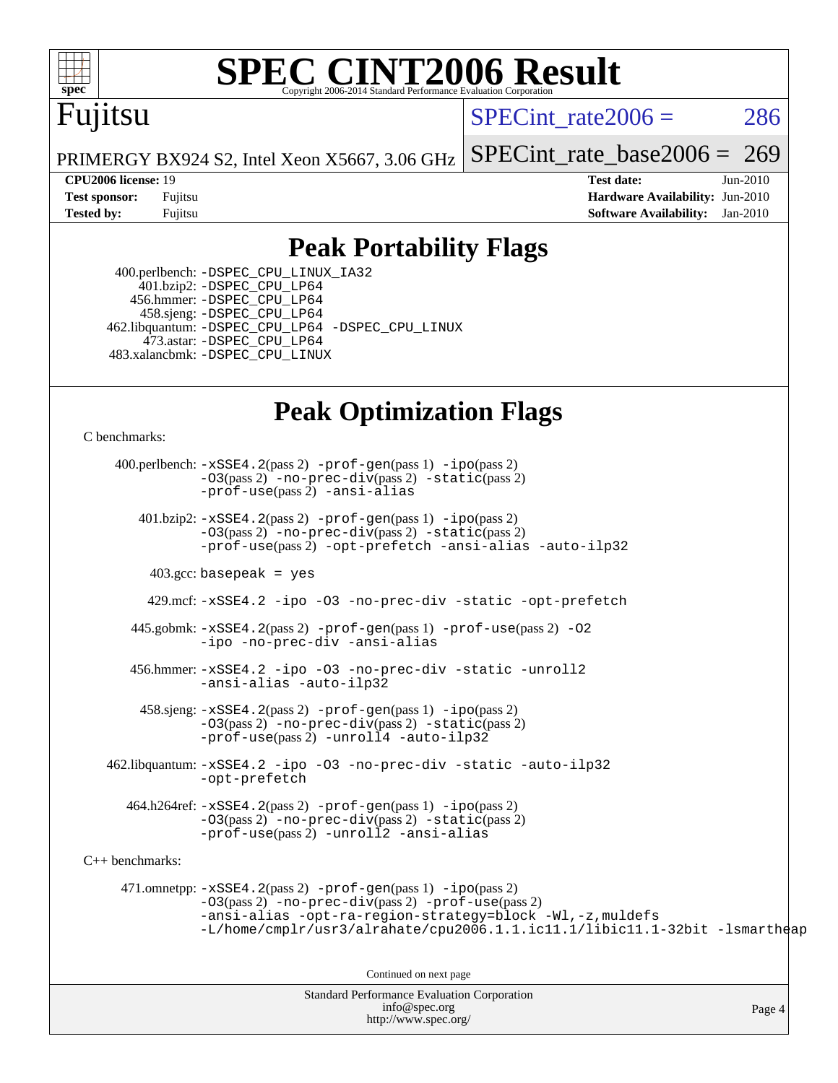

# **[SPEC CINT2006 Result](http://www.spec.org/auto/cpu2006/Docs/result-fields.html#SPECCINT2006Result)**

# Fujitsu

SPECint rate $2006 = 286$ 

[SPECint\\_rate\\_base2006 =](http://www.spec.org/auto/cpu2006/Docs/result-fields.html#SPECintratebase2006) 269

Page 4

PRIMERGY BX924 S2, Intel Xeon X5667, 3.06 GHz

**[CPU2006 license:](http://www.spec.org/auto/cpu2006/Docs/result-fields.html#CPU2006license)** 19 **[Test date:](http://www.spec.org/auto/cpu2006/Docs/result-fields.html#Testdate)** Jun-2010 **[Test sponsor:](http://www.spec.org/auto/cpu2006/Docs/result-fields.html#Testsponsor)** Fujitsu **[Hardware Availability:](http://www.spec.org/auto/cpu2006/Docs/result-fields.html#HardwareAvailability)** Jun-2010 **[Tested by:](http://www.spec.org/auto/cpu2006/Docs/result-fields.html#Testedby)** Fujitsu **[Software Availability:](http://www.spec.org/auto/cpu2006/Docs/result-fields.html#SoftwareAvailability)** Jan-2010

## **[Peak Portability Flags](http://www.spec.org/auto/cpu2006/Docs/result-fields.html#PeakPortabilityFlags)**

 400.perlbench: [-DSPEC\\_CPU\\_LINUX\\_IA32](http://www.spec.org/cpu2006/results/res2010q3/cpu2006-20100618-11750.flags.html#b400.perlbench_peakCPORTABILITY_DSPEC_CPU_LINUX_IA32) 401.bzip2: [-DSPEC\\_CPU\\_LP64](http://www.spec.org/cpu2006/results/res2010q3/cpu2006-20100618-11750.flags.html#suite_peakCPORTABILITY401_bzip2_DSPEC_CPU_LP64) 456.hmmer: [-DSPEC\\_CPU\\_LP64](http://www.spec.org/cpu2006/results/res2010q3/cpu2006-20100618-11750.flags.html#suite_peakCPORTABILITY456_hmmer_DSPEC_CPU_LP64) 458.sjeng: [-DSPEC\\_CPU\\_LP64](http://www.spec.org/cpu2006/results/res2010q3/cpu2006-20100618-11750.flags.html#suite_peakCPORTABILITY458_sjeng_DSPEC_CPU_LP64) 462.libquantum: [-DSPEC\\_CPU\\_LP64](http://www.spec.org/cpu2006/results/res2010q3/cpu2006-20100618-11750.flags.html#suite_peakCPORTABILITY462_libquantum_DSPEC_CPU_LP64) [-DSPEC\\_CPU\\_LINUX](http://www.spec.org/cpu2006/results/res2010q3/cpu2006-20100618-11750.flags.html#b462.libquantum_peakCPORTABILITY_DSPEC_CPU_LINUX) 473.astar: [-DSPEC\\_CPU\\_LP64](http://www.spec.org/cpu2006/results/res2010q3/cpu2006-20100618-11750.flags.html#suite_peakCXXPORTABILITY473_astar_DSPEC_CPU_LP64) 483.xalancbmk: [-DSPEC\\_CPU\\_LINUX](http://www.spec.org/cpu2006/results/res2010q3/cpu2006-20100618-11750.flags.html#b483.xalancbmk_peakCXXPORTABILITY_DSPEC_CPU_LINUX)

## **[Peak Optimization Flags](http://www.spec.org/auto/cpu2006/Docs/result-fields.html#PeakOptimizationFlags)**

[C benchmarks](http://www.spec.org/auto/cpu2006/Docs/result-fields.html#Cbenchmarks):

 400.perlbench: [-xSSE4.2](http://www.spec.org/cpu2006/results/res2010q3/cpu2006-20100618-11750.flags.html#user_peakPASS2_CFLAGSPASS2_LDCFLAGS400_perlbench_f-xSSE42_f91528193cf0b216347adb8b939d4107)(pass 2) [-prof-gen](http://www.spec.org/cpu2006/results/res2010q3/cpu2006-20100618-11750.flags.html#user_peakPASS1_CFLAGSPASS1_LDCFLAGS400_perlbench_prof_gen_e43856698f6ca7b7e442dfd80e94a8fc)(pass 1) [-ipo](http://www.spec.org/cpu2006/results/res2010q3/cpu2006-20100618-11750.flags.html#user_peakPASS2_CFLAGSPASS2_LDCFLAGS400_perlbench_f-ipo)(pass 2) [-O3](http://www.spec.org/cpu2006/results/res2010q3/cpu2006-20100618-11750.flags.html#user_peakPASS2_CFLAGSPASS2_LDCFLAGS400_perlbench_f-O3)(pass 2) [-no-prec-div](http://www.spec.org/cpu2006/results/res2010q3/cpu2006-20100618-11750.flags.html#user_peakPASS2_CFLAGSPASS2_LDCFLAGS400_perlbench_f-no-prec-div)(pass 2) [-static](http://www.spec.org/cpu2006/results/res2010q3/cpu2006-20100618-11750.flags.html#user_peakPASS2_CFLAGSPASS2_LDCFLAGS400_perlbench_f-static)(pass 2) [-prof-use](http://www.spec.org/cpu2006/results/res2010q3/cpu2006-20100618-11750.flags.html#user_peakPASS2_CFLAGSPASS2_LDCFLAGS400_perlbench_prof_use_bccf7792157ff70d64e32fe3e1250b55)(pass 2) [-ansi-alias](http://www.spec.org/cpu2006/results/res2010q3/cpu2006-20100618-11750.flags.html#user_peakCOPTIMIZE400_perlbench_f-ansi-alias) 401.bzip2: [-xSSE4.2](http://www.spec.org/cpu2006/results/res2010q3/cpu2006-20100618-11750.flags.html#user_peakPASS2_CFLAGSPASS2_LDCFLAGS401_bzip2_f-xSSE42_f91528193cf0b216347adb8b939d4107)(pass 2) [-prof-gen](http://www.spec.org/cpu2006/results/res2010q3/cpu2006-20100618-11750.flags.html#user_peakPASS1_CFLAGSPASS1_LDCFLAGS401_bzip2_prof_gen_e43856698f6ca7b7e442dfd80e94a8fc)(pass 1) [-ipo](http://www.spec.org/cpu2006/results/res2010q3/cpu2006-20100618-11750.flags.html#user_peakPASS2_CFLAGSPASS2_LDCFLAGS401_bzip2_f-ipo)(pass 2) [-O3](http://www.spec.org/cpu2006/results/res2010q3/cpu2006-20100618-11750.flags.html#user_peakPASS2_CFLAGSPASS2_LDCFLAGS401_bzip2_f-O3)(pass 2) [-no-prec-div](http://www.spec.org/cpu2006/results/res2010q3/cpu2006-20100618-11750.flags.html#user_peakPASS2_CFLAGSPASS2_LDCFLAGS401_bzip2_f-no-prec-div)(pass 2) [-static](http://www.spec.org/cpu2006/results/res2010q3/cpu2006-20100618-11750.flags.html#user_peakPASS2_CFLAGSPASS2_LDCFLAGS401_bzip2_f-static)(pass 2) [-prof-use](http://www.spec.org/cpu2006/results/res2010q3/cpu2006-20100618-11750.flags.html#user_peakPASS2_CFLAGSPASS2_LDCFLAGS401_bzip2_prof_use_bccf7792157ff70d64e32fe3e1250b55)(pass 2) [-opt-prefetch](http://www.spec.org/cpu2006/results/res2010q3/cpu2006-20100618-11750.flags.html#user_peakCOPTIMIZE401_bzip2_f-opt-prefetch) [-ansi-alias](http://www.spec.org/cpu2006/results/res2010q3/cpu2006-20100618-11750.flags.html#user_peakCOPTIMIZE401_bzip2_f-ansi-alias) [-auto-ilp32](http://www.spec.org/cpu2006/results/res2010q3/cpu2006-20100618-11750.flags.html#user_peakCOPTIMIZE401_bzip2_f-auto-ilp32)  $403.\text{gcc: basepeak}$  = yes 429.mcf: [-xSSE4.2](http://www.spec.org/cpu2006/results/res2010q3/cpu2006-20100618-11750.flags.html#user_peakCOPTIMIZE429_mcf_f-xSSE42_f91528193cf0b216347adb8b939d4107) [-ipo](http://www.spec.org/cpu2006/results/res2010q3/cpu2006-20100618-11750.flags.html#user_peakCOPTIMIZE429_mcf_f-ipo) [-O3](http://www.spec.org/cpu2006/results/res2010q3/cpu2006-20100618-11750.flags.html#user_peakCOPTIMIZE429_mcf_f-O3) [-no-prec-div](http://www.spec.org/cpu2006/results/res2010q3/cpu2006-20100618-11750.flags.html#user_peakCOPTIMIZE429_mcf_f-no-prec-div) [-static](http://www.spec.org/cpu2006/results/res2010q3/cpu2006-20100618-11750.flags.html#user_peakCOPTIMIZE429_mcf_f-static) [-opt-prefetch](http://www.spec.org/cpu2006/results/res2010q3/cpu2006-20100618-11750.flags.html#user_peakCOPTIMIZE429_mcf_f-opt-prefetch) 445.gobmk: [-xSSE4.2](http://www.spec.org/cpu2006/results/res2010q3/cpu2006-20100618-11750.flags.html#user_peakPASS2_CFLAGSPASS2_LDCFLAGS445_gobmk_f-xSSE42_f91528193cf0b216347adb8b939d4107)(pass 2) [-prof-gen](http://www.spec.org/cpu2006/results/res2010q3/cpu2006-20100618-11750.flags.html#user_peakPASS1_CFLAGSPASS1_LDCFLAGS445_gobmk_prof_gen_e43856698f6ca7b7e442dfd80e94a8fc)(pass 1) [-prof-use](http://www.spec.org/cpu2006/results/res2010q3/cpu2006-20100618-11750.flags.html#user_peakPASS2_CFLAGSPASS2_LDCFLAGS445_gobmk_prof_use_bccf7792157ff70d64e32fe3e1250b55)(pass 2) [-O2](http://www.spec.org/cpu2006/results/res2010q3/cpu2006-20100618-11750.flags.html#user_peakCOPTIMIZE445_gobmk_f-O2) [-ipo](http://www.spec.org/cpu2006/results/res2010q3/cpu2006-20100618-11750.flags.html#user_peakCOPTIMIZE445_gobmk_f-ipo) [-no-prec-div](http://www.spec.org/cpu2006/results/res2010q3/cpu2006-20100618-11750.flags.html#user_peakCOPTIMIZE445_gobmk_f-no-prec-div) [-ansi-alias](http://www.spec.org/cpu2006/results/res2010q3/cpu2006-20100618-11750.flags.html#user_peakCOPTIMIZE445_gobmk_f-ansi-alias) 456.hmmer: [-xSSE4.2](http://www.spec.org/cpu2006/results/res2010q3/cpu2006-20100618-11750.flags.html#user_peakCOPTIMIZE456_hmmer_f-xSSE42_f91528193cf0b216347adb8b939d4107) [-ipo](http://www.spec.org/cpu2006/results/res2010q3/cpu2006-20100618-11750.flags.html#user_peakCOPTIMIZE456_hmmer_f-ipo) [-O3](http://www.spec.org/cpu2006/results/res2010q3/cpu2006-20100618-11750.flags.html#user_peakCOPTIMIZE456_hmmer_f-O3) [-no-prec-div](http://www.spec.org/cpu2006/results/res2010q3/cpu2006-20100618-11750.flags.html#user_peakCOPTIMIZE456_hmmer_f-no-prec-div) [-static](http://www.spec.org/cpu2006/results/res2010q3/cpu2006-20100618-11750.flags.html#user_peakCOPTIMIZE456_hmmer_f-static) [-unroll2](http://www.spec.org/cpu2006/results/res2010q3/cpu2006-20100618-11750.flags.html#user_peakCOPTIMIZE456_hmmer_f-unroll_784dae83bebfb236979b41d2422d7ec2) [-ansi-alias](http://www.spec.org/cpu2006/results/res2010q3/cpu2006-20100618-11750.flags.html#user_peakCOPTIMIZE456_hmmer_f-ansi-alias) [-auto-ilp32](http://www.spec.org/cpu2006/results/res2010q3/cpu2006-20100618-11750.flags.html#user_peakCOPTIMIZE456_hmmer_f-auto-ilp32)  $458 \text{.}$  sjeng:  $-xSSE4$ .  $2(\text{pass 2})$  -prof-qen(pass 1) [-ipo](http://www.spec.org/cpu2006/results/res2010q3/cpu2006-20100618-11750.flags.html#user_peakPASS2_CFLAGSPASS2_LDCFLAGS458_sjeng_f-ipo)(pass 2) [-O3](http://www.spec.org/cpu2006/results/res2010q3/cpu2006-20100618-11750.flags.html#user_peakPASS2_CFLAGSPASS2_LDCFLAGS458_sjeng_f-O3)(pass 2) [-no-prec-div](http://www.spec.org/cpu2006/results/res2010q3/cpu2006-20100618-11750.flags.html#user_peakPASS2_CFLAGSPASS2_LDCFLAGS458_sjeng_f-no-prec-div)(pass 2) [-static](http://www.spec.org/cpu2006/results/res2010q3/cpu2006-20100618-11750.flags.html#user_peakPASS2_CFLAGSPASS2_LDCFLAGS458_sjeng_f-static)(pass 2) [-prof-use](http://www.spec.org/cpu2006/results/res2010q3/cpu2006-20100618-11750.flags.html#user_peakPASS2_CFLAGSPASS2_LDCFLAGS458_sjeng_prof_use_bccf7792157ff70d64e32fe3e1250b55)(pass 2) [-unroll4](http://www.spec.org/cpu2006/results/res2010q3/cpu2006-20100618-11750.flags.html#user_peakCOPTIMIZE458_sjeng_f-unroll_4e5e4ed65b7fd20bdcd365bec371b81f) [-auto-ilp32](http://www.spec.org/cpu2006/results/res2010q3/cpu2006-20100618-11750.flags.html#user_peakCOPTIMIZE458_sjeng_f-auto-ilp32) 462.libquantum: [-xSSE4.2](http://www.spec.org/cpu2006/results/res2010q3/cpu2006-20100618-11750.flags.html#user_peakCOPTIMIZE462_libquantum_f-xSSE42_f91528193cf0b216347adb8b939d4107) [-ipo](http://www.spec.org/cpu2006/results/res2010q3/cpu2006-20100618-11750.flags.html#user_peakCOPTIMIZE462_libquantum_f-ipo) [-O3](http://www.spec.org/cpu2006/results/res2010q3/cpu2006-20100618-11750.flags.html#user_peakCOPTIMIZE462_libquantum_f-O3) [-no-prec-div](http://www.spec.org/cpu2006/results/res2010q3/cpu2006-20100618-11750.flags.html#user_peakCOPTIMIZE462_libquantum_f-no-prec-div) [-static](http://www.spec.org/cpu2006/results/res2010q3/cpu2006-20100618-11750.flags.html#user_peakCOPTIMIZE462_libquantum_f-static) [-auto-ilp32](http://www.spec.org/cpu2006/results/res2010q3/cpu2006-20100618-11750.flags.html#user_peakCOPTIMIZE462_libquantum_f-auto-ilp32) [-opt-prefetch](http://www.spec.org/cpu2006/results/res2010q3/cpu2006-20100618-11750.flags.html#user_peakCOPTIMIZE462_libquantum_f-opt-prefetch) 464.h264ref: [-xSSE4.2](http://www.spec.org/cpu2006/results/res2010q3/cpu2006-20100618-11750.flags.html#user_peakPASS2_CFLAGSPASS2_LDCFLAGS464_h264ref_f-xSSE42_f91528193cf0b216347adb8b939d4107)(pass 2) [-prof-gen](http://www.spec.org/cpu2006/results/res2010q3/cpu2006-20100618-11750.flags.html#user_peakPASS1_CFLAGSPASS1_LDCFLAGS464_h264ref_prof_gen_e43856698f6ca7b7e442dfd80e94a8fc)(pass 1) [-ipo](http://www.spec.org/cpu2006/results/res2010q3/cpu2006-20100618-11750.flags.html#user_peakPASS2_CFLAGSPASS2_LDCFLAGS464_h264ref_f-ipo)(pass 2) [-O3](http://www.spec.org/cpu2006/results/res2010q3/cpu2006-20100618-11750.flags.html#user_peakPASS2_CFLAGSPASS2_LDCFLAGS464_h264ref_f-O3)(pass 2) [-no-prec-div](http://www.spec.org/cpu2006/results/res2010q3/cpu2006-20100618-11750.flags.html#user_peakPASS2_CFLAGSPASS2_LDCFLAGS464_h264ref_f-no-prec-div)(pass 2) [-static](http://www.spec.org/cpu2006/results/res2010q3/cpu2006-20100618-11750.flags.html#user_peakPASS2_CFLAGSPASS2_LDCFLAGS464_h264ref_f-static)(pass 2) [-prof-use](http://www.spec.org/cpu2006/results/res2010q3/cpu2006-20100618-11750.flags.html#user_peakPASS2_CFLAGSPASS2_LDCFLAGS464_h264ref_prof_use_bccf7792157ff70d64e32fe3e1250b55)(pass 2) [-unroll2](http://www.spec.org/cpu2006/results/res2010q3/cpu2006-20100618-11750.flags.html#user_peakCOPTIMIZE464_h264ref_f-unroll_784dae83bebfb236979b41d2422d7ec2) [-ansi-alias](http://www.spec.org/cpu2006/results/res2010q3/cpu2006-20100618-11750.flags.html#user_peakCOPTIMIZE464_h264ref_f-ansi-alias) [C++ benchmarks:](http://www.spec.org/auto/cpu2006/Docs/result-fields.html#CXXbenchmarks) 471.omnetpp: [-xSSE4.2](http://www.spec.org/cpu2006/results/res2010q3/cpu2006-20100618-11750.flags.html#user_peakPASS2_CXXFLAGSPASS2_LDCXXFLAGS471_omnetpp_f-xSSE42_f91528193cf0b216347adb8b939d4107)(pass 2) [-prof-gen](http://www.spec.org/cpu2006/results/res2010q3/cpu2006-20100618-11750.flags.html#user_peakPASS1_CXXFLAGSPASS1_LDCXXFLAGS471_omnetpp_prof_gen_e43856698f6ca7b7e442dfd80e94a8fc)(pass 1) [-ipo](http://www.spec.org/cpu2006/results/res2010q3/cpu2006-20100618-11750.flags.html#user_peakPASS2_CXXFLAGSPASS2_LDCXXFLAGS471_omnetpp_f-ipo)(pass 2) [-O3](http://www.spec.org/cpu2006/results/res2010q3/cpu2006-20100618-11750.flags.html#user_peakPASS2_CXXFLAGSPASS2_LDCXXFLAGS471_omnetpp_f-O3)(pass 2) [-no-prec-div](http://www.spec.org/cpu2006/results/res2010q3/cpu2006-20100618-11750.flags.html#user_peakPASS2_CXXFLAGSPASS2_LDCXXFLAGS471_omnetpp_f-no-prec-div)(pass 2) [-prof-use](http://www.spec.org/cpu2006/results/res2010q3/cpu2006-20100618-11750.flags.html#user_peakPASS2_CXXFLAGSPASS2_LDCXXFLAGS471_omnetpp_prof_use_bccf7792157ff70d64e32fe3e1250b55)(pass 2) [-ansi-alias](http://www.spec.org/cpu2006/results/res2010q3/cpu2006-20100618-11750.flags.html#user_peakCXXOPTIMIZE471_omnetpp_f-ansi-alias) [-opt-ra-region-strategy=block](http://www.spec.org/cpu2006/results/res2010q3/cpu2006-20100618-11750.flags.html#user_peakCXXOPTIMIZE471_omnetpp_f-opt-ra-region-strategy-block_a0a37c372d03933b2a18d4af463c1f69) [-Wl,-z,muldefs](http://www.spec.org/cpu2006/results/res2010q3/cpu2006-20100618-11750.flags.html#user_peakEXTRA_LDFLAGS471_omnetpp_link_force_multiple1_74079c344b956b9658436fd1b6dd3a8a) [-L/home/cmplr/usr3/alrahate/cpu2006.1.1.ic11.1/libic11.1-32bit -lsmartheap](http://www.spec.org/cpu2006/results/res2010q3/cpu2006-20100618-11750.flags.html#user_peakEXTRA_LIBS471_omnetpp_SmartHeap_d86dffe4a79b79ef8890d5cce17030c3) Continued on next page

Standard Performance Evaluation Corporation [info@spec.org](mailto:info@spec.org) <http://www.spec.org/>